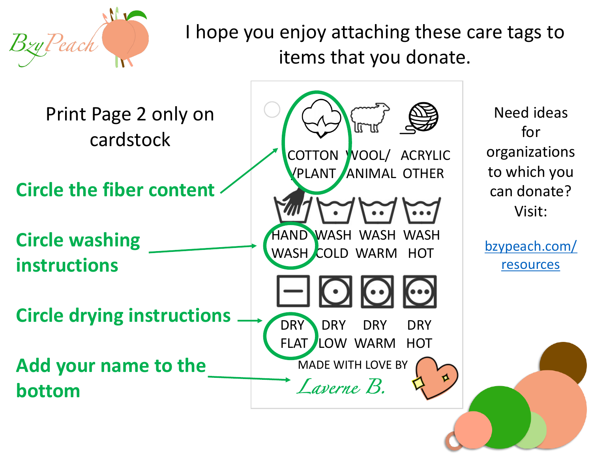

I hope you enjoy attaching these items that you donat